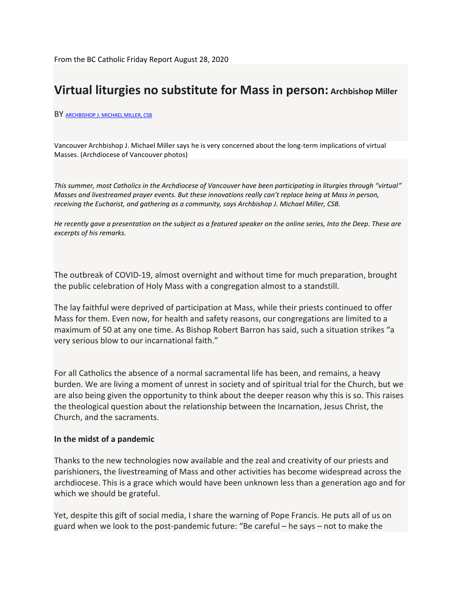## **Virtual liturgies no substitute for Mass in person: Archbishop Miller**

#### BY [ARCHBISHOP J. MICHAEL MILLER, CSB](https://bccatholic.ca/authors/archbishop-miller)

Vancouver Archbishop J. Michael Miller says he is very concerned about the long-term implications of virtual Masses. (Archdiocese of Vancouver photos)

*This summer, most Catholics in the Archdiocese of Vancouver have been participating in liturgies through "virtual" Masses and livestreamed prayer events. But these innovations really can't replace being at Mass in person, receiving the Eucharist, and gathering as a community, says Archbishop J. Michael Miller, CSB.*

*He [recently](https://www.youtube.com/watch?v=ughZdF7fOiU) gave a presentation on the subject as a featured speaker on the online series, Into the Deep. These are excerpts of his remarks.*

The outbreak of COVID-19, almost overnight and without time for much preparation, brought the public celebration of Holy Mass with a congregation almost to a standstill.

The lay faithful were deprived of participation at Mass, while their priests continued to offer Mass for them. Even now, for health and safety reasons, our congregations are limited to a maximum of 50 at any one time. As Bishop Robert Barron has said, such a situation strikes "a very serious blow to our incarnational faith."

For all Catholics the absence of a normal sacramental life has been, and remains, a heavy burden. We are living a moment of unrest in society and of spiritual trial for the Church, but we are also being given the opportunity to think about the deeper reason why this is so. This raises the theological question about the relationship between the Incarnation, Jesus Christ, the Church, and the sacraments.

#### **In the midst of a pandemic**

Thanks to the new technologies now available and the zeal and creativity of our priests and parishioners, the livestreaming of Mass and other activities has become widespread across the archdiocese. This is a grace which would have been unknown less than a generation ago and for which we should be grateful.

Yet, despite this gift of social media, I share the warning of Pope Francis. He puts all of us on guard when we look to the post-pandemic future: "Be careful – he says – not to make the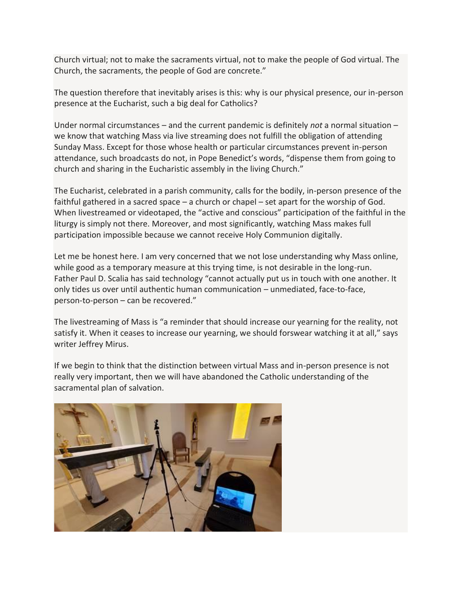Church virtual; not to make the sacraments virtual, not to make the people of God virtual. The Church, the sacraments, the people of God are concrete."

The question therefore that inevitably arises is this: why is our physical presence, our in-person presence at the Eucharist, such a big deal for Catholics?

Under normal circumstances – and the current pandemic is definitely *not* a normal situation – we know that watching Mass via live streaming does not fulfill the obligation of attending Sunday Mass. Except for those whose health or particular circumstances prevent in-person attendance, such broadcasts do not, in Pope Benedict's words, "dispense them from going to church and sharing in the Eucharistic assembly in the living Church."

The Eucharist, celebrated in a parish community, calls for the bodily, in-person presence of the faithful gathered in a sacred space – a church or chapel – set apart for the worship of God. When livestreamed or videotaped, the "active and conscious" participation of the faithful in the liturgy is simply not there. Moreover, and most significantly, watching Mass makes full participation impossible because we cannot receive Holy Communion digitally.

Let me be honest here. I am very concerned that we not lose understanding why Mass online, while good as a temporary measure at this trying time, is not desirable in the long-run. Father Paul D. Scalia has said technology "cannot actually put us in touch with one another. It only tides us over until authentic human communication – unmediated, face-to-face, person-to-person – can be recovered."

The livestreaming of Mass is "a reminder that should increase our yearning for the reality, not satisfy it. When it ceases to increase our yearning, we should forswear watching it at all," says writer Jeffrey Mirus.

If we begin to think that the distinction between virtual Mass and in-person presence is not really very important, then we will have abandoned the Catholic understanding of the sacramental plan of salvation.

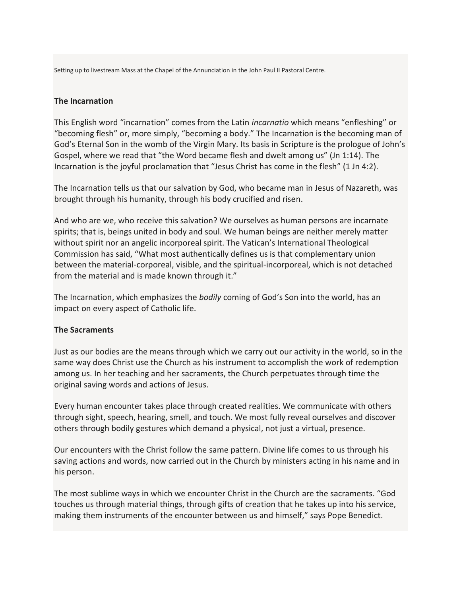Setting up to livestream Mass at the Chapel of the Annunciation in the John Paul II Pastoral Centre.

#### **The Incarnation**

This English word "incarnation" comes from the Latin *incarnatio* which means "enfleshing" or "becoming flesh" or, more simply, "becoming a body." The Incarnation is the becoming man of God's Eternal Son in the womb of the Virgin Mary. Its basis in Scripture is the prologue of John's Gospel, where we read that "the Word became flesh and dwelt among us" (Jn 1:14). The Incarnation is the joyful proclamation that "Jesus Christ has come in the flesh" (1 Jn 4:2).

The Incarnation tells us that our salvation by God, who became man in Jesus of Nazareth, was brought through his humanity, through his body crucified and risen.

And who are we, who receive this salvation? We ourselves as human persons are incarnate spirits; that is, beings united in body and soul. We human beings are neither merely matter without spirit nor an angelic incorporeal spirit. The Vatican's International Theological Commission has said, "What most authentically defines us is that complementary union between the material-corporeal, visible, and the spiritual-incorporeal, which is not detached from the material and is made known through it."

The Incarnation, which emphasizes the *bodily* coming of God's Son into the world, has an impact on every aspect of Catholic life.

#### **The Sacraments**

Just as our bodies are the means through which we carry out our activity in the world, so in the same way does Christ use the Church as his instrument to accomplish the work of redemption among us. In her teaching and her sacraments, the Church perpetuates through time the original saving words and actions of Jesus.

Every human encounter takes place through created realities. We communicate with others through sight, speech, hearing, smell, and touch. We most fully reveal ourselves and discover others through bodily gestures which demand a physical, not just a virtual, presence.

Our encounters with the Christ follow the same pattern. Divine life comes to us through his saving actions and words, now carried out in the Church by ministers acting in his name and in his person.

The most sublime ways in which we encounter Christ in the Church are the sacraments. "God touches us through material things, through gifts of creation that he takes up into his service, making them instruments of the encounter between us and himself," says Pope Benedict.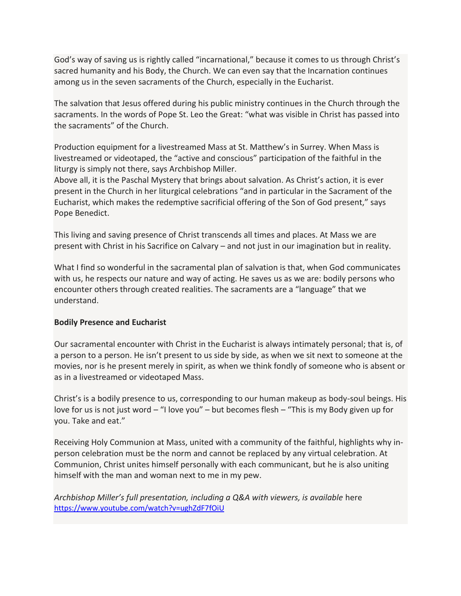God's way of saving us is rightly called "incarnational," because it comes to us through Christ's sacred humanity and his Body, the Church. We can even say that the Incarnation continues among us in the seven sacraments of the Church, especially in the Eucharist.

The salvation that Jesus offered during his public ministry continues in the Church through the sacraments. In the words of Pope St. Leo the Great: "what was visible in Christ has passed into the sacraments" of the Church.

Production equipment for a livestreamed Mass at St. Matthew's in Surrey. When Mass is livestreamed or videotaped, the "active and conscious" participation of the faithful in the liturgy is simply not there, says Archbishop Miller.

Above all, it is the Paschal Mystery that brings about salvation. As Christ's action, it is ever present in the Church in her liturgical celebrations "and in particular in the Sacrament of the Eucharist, which makes the redemptive sacrificial offering of the Son of God present," says Pope Benedict.

This living and saving presence of Christ transcends all times and places. At Mass we are present with Christ in his Sacrifice on Calvary – and not just in our imagination but in reality.

What I find so wonderful in the sacramental plan of salvation is that, when God communicates with us, he respects our nature and way of acting. He saves us as we are: bodily persons who encounter others through created realities. The sacraments are a "language" that we understand.

### **Bodily Presence and Eucharist**

Our sacramental encounter with Christ in the Eucharist is always intimately personal; that is, of a person to a person. He isn't present to us side by side, as when we sit next to someone at the movies, nor is he present merely in spirit, as when we think fondly of someone who is absent or as in a livestreamed or videotaped Mass.

Christ's is a bodily presence to us, corresponding to our human makeup as body-soul beings. His love for us is not just word – "I love you" – but becomes flesh – "This is my Body given up for you. Take and eat."

Receiving Holy Communion at Mass, united with a community of the faithful, highlights why inperson celebration must be the norm and cannot be replaced by any virtual celebration. At Communion, Christ unites himself personally with each communicant, but he is also uniting himself with the man and woman next to me in my pew.

*Archbishop Miller's full presentation, including a Q&A with viewers, is available* here <https://www.youtube.com/watch?v=ughZdF7fOiU>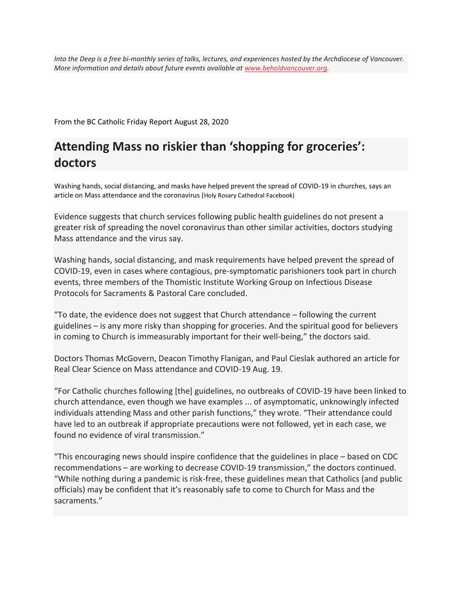*Into the Deep is a free bi-monthly series of talks, lectures, and experiences hosted by the Archdiocese of Vancouver. More information and details about future events available at [www.beholdvancouver.org.](https://www.beholdvancouver.org/)*

From the BC Catholic Friday Report August 28, 2020

# **Attending Mass no riskier than 'shopping for groceries': doctors**

Washing hands, social distancing, and masks have helped prevent the spread of COVID-19 in churches, says an article on Mass attendance and the coronavirus (Holy Rosary Cathedral Facebook)

Evidence suggests that church services following public health guidelines do not present a greater risk of spreading the novel coronavirus than other similar activities, doctors studying Mass attendance and the virus say.

Washing hands, social distancing, and mask requirements have helped prevent the spread of COVID-19, even in cases where contagious, pre-symptomatic parishioners took part in church events, three members of the Thomistic Institute Working Group on Infectious Disease Protocols for Sacraments & Pastoral Care concluded.

"To date, the evidence does not suggest that Church attendance – following the current guidelines – is any more risky than shopping for groceries. And the spiritual good for believers in coming to Church is immeasurably important for their well-being," the doctors said.

Doctors Thomas McGovern, Deacon Timothy Flanigan, and Paul Cieslak authored an article for Real Clear Science on Mass attendance and COVID-19 Aug. 19.

"For Catholic churches following [the] guidelines, no outbreaks of COVID-19 have been linked to church attendance, even though we have examples ... of asymptomatic, unknowingly infected individuals attending Mass and other parish functions," they wrote. "Their attendance could have led to an outbreak if appropriate precautions were not followed, yet in each case, we found no evidence of viral transmission."

"This encouraging news should inspire confidence that the guidelines in place – based on CDC recommendations – are working to decrease COVID-19 transmission," the doctors continued. "While nothing during a pandemic is risk-free, these guidelines mean that Catholics (and public officials) may be confident that it's reasonably safe to come to Church for Mass and the sacraments."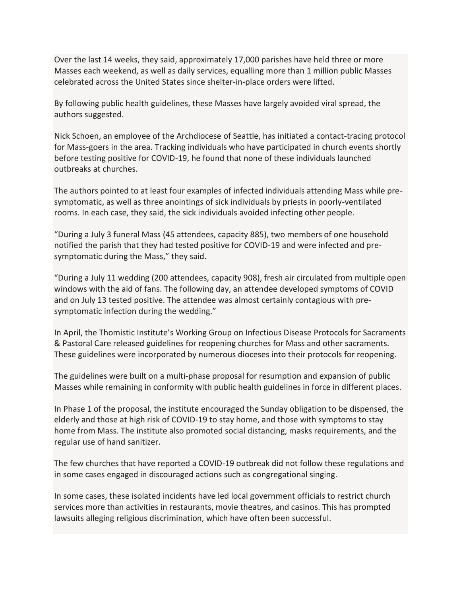Over the last 14 weeks, they said, approximately 17,000 parishes have held three or more Masses each weekend, as well as daily services, equalling more than 1 million public Masses celebrated across the United States since shelter-in-place orders were lifted.

By following public health guidelines, these Masses have largely avoided viral spread, the authors suggested.

Nick Schoen, an employee of the Archdiocese of Seattle, has initiated a contact-tracing protocol for Mass-goers in the area. Tracking individuals who have participated in church events shortly before testing positive for COVID-19, he found that none of these individuals launched outbreaks at churches.

The authors pointed to at least four examples of infected individuals attending Mass while presymptomatic, as well as three anointings of sick individuals by priests in poorly-ventilated rooms. In each case, they said, the sick individuals avoided infecting other people.

"During a July 3 funeral Mass (45 attendees, capacity 885), two members of one household notified the parish that they had tested positive for COVID-19 and were infected and presymptomatic during the Mass," they said.

"During a July 11 wedding (200 attendees, capacity 908), fresh air circulated from multiple open windows with the aid of fans. The following day, an attendee developed symptoms of COVID and on July 13 tested positive. The attendee was almost certainly contagious with presymptomatic infection during the wedding."

In April, the Thomistic Institute's Working Group on Infectious Disease Protocols for Sacraments & Pastoral Care released guidelines for reopening churches for Mass and other sacraments. These guidelines were incorporated by numerous dioceses into their protocols for reopening.

The guidelines were built on a multi-phase proposal for resumption and expansion of public Masses while remaining in conformity with public health guidelines in force in different places.

In Phase 1 of the proposal, the institute encouraged the Sunday obligation to be dispensed, the elderly and those at high risk of COVID-19 to stay home, and those with symptoms to stay home from Mass. The institute also promoted social distancing, masks requirements, and the regular use of hand sanitizer.

The few churches that have reported a COVID-19 outbreak did not follow these regulations and in some cases engaged in discouraged actions such as congregational singing.

In some cases, these isolated incidents have led local government officials to restrict church services more than activities in restaurants, movie theatres, and casinos. This has prompted lawsuits alleging religious discrimination, which have often been successful.